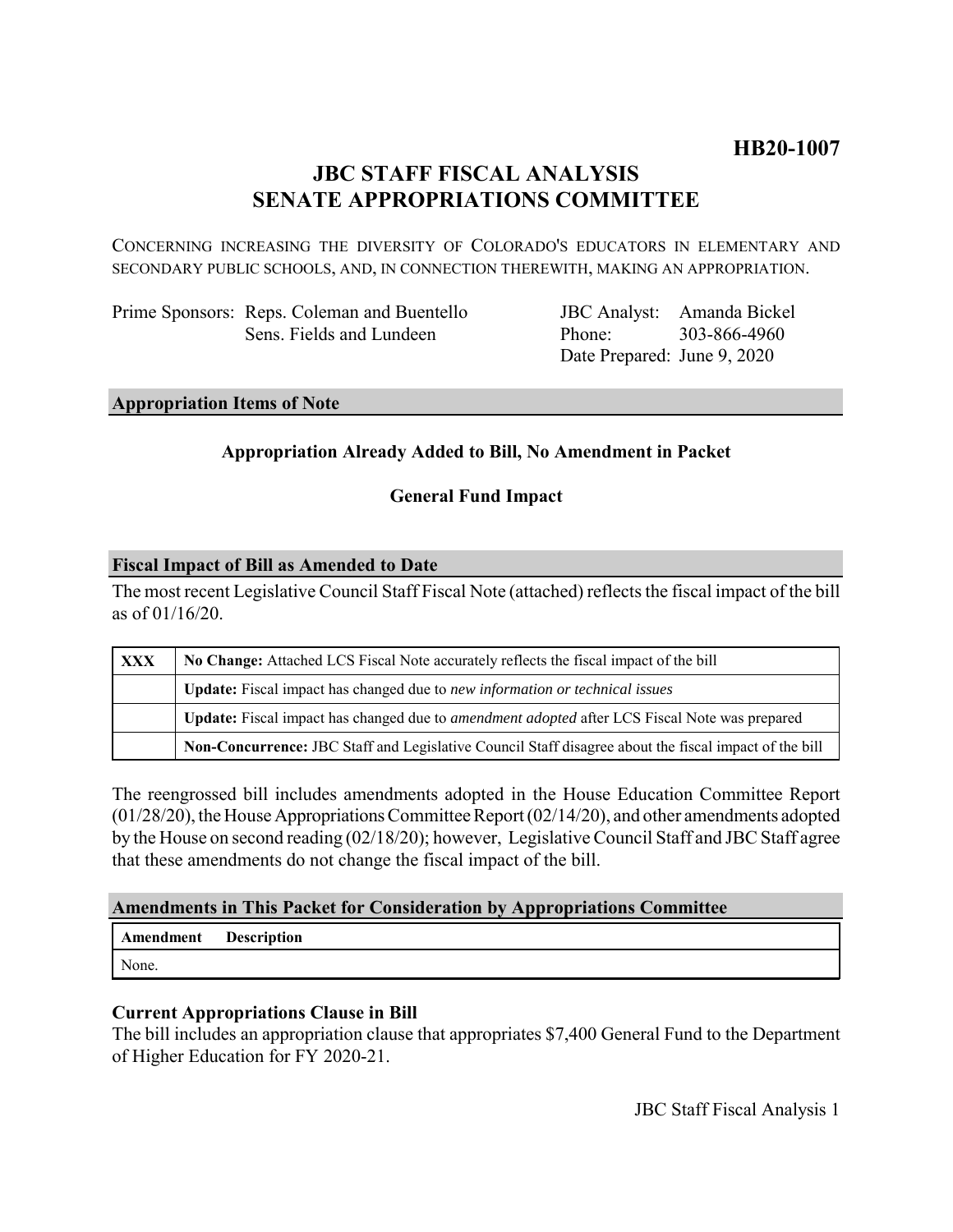# **HB20-1007**

# **JBC STAFF FISCAL ANALYSIS SENATE APPROPRIATIONS COMMITTEE**

CONCERNING INCREASING THE DIVERSITY OF COLORADO'S EDUCATORS IN ELEMENTARY AND SECONDARY PUBLIC SCHOOLS, AND, IN CONNECTION THEREWITH, MAKING AN APPROPRIATION.

Prime Sponsors: Reps. Coleman and Buentello Sens. Fields and Lundeen

JBC Analyst: Amanda Bickel Phone: Date Prepared: June 9, 2020 303-866-4960

## **Appropriation Items of Note**

## **Appropriation Already Added to Bill, No Amendment in Packet**

### **General Fund Impact**

#### **Fiscal Impact of Bill as Amended to Date**

The most recent Legislative Council Staff Fiscal Note (attached) reflects the fiscal impact of the bill as of 01/16/20.

| XXX | No Change: Attached LCS Fiscal Note accurately reflects the fiscal impact of the bill                       |
|-----|-------------------------------------------------------------------------------------------------------------|
|     | <b>Update:</b> Fiscal impact has changed due to new information or technical issues                         |
|     | <b>Update:</b> Fiscal impact has changed due to <i>amendment adopted</i> after LCS Fiscal Note was prepared |
|     | Non-Concurrence: JBC Staff and Legislative Council Staff disagree about the fiscal impact of the bill       |

The reengrossed bill includes amendments adopted in the House Education Committee Report (01/28/20), the House Appropriations Committee Report (02/14/20), and other amendments adopted by the House on second reading (02/18/20); however, Legislative Council Staff and JBC Staff agree that these amendments do not change the fiscal impact of the bill.

### **Amendments in This Packet for Consideration by Appropriations Committee**

**Amendment Description**

None.

# **Current Appropriations Clause in Bill**

The bill includes an appropriation clause that appropriates \$7,400 General Fund to the Department of Higher Education for FY 2020-21.

JBC Staff Fiscal Analysis 1